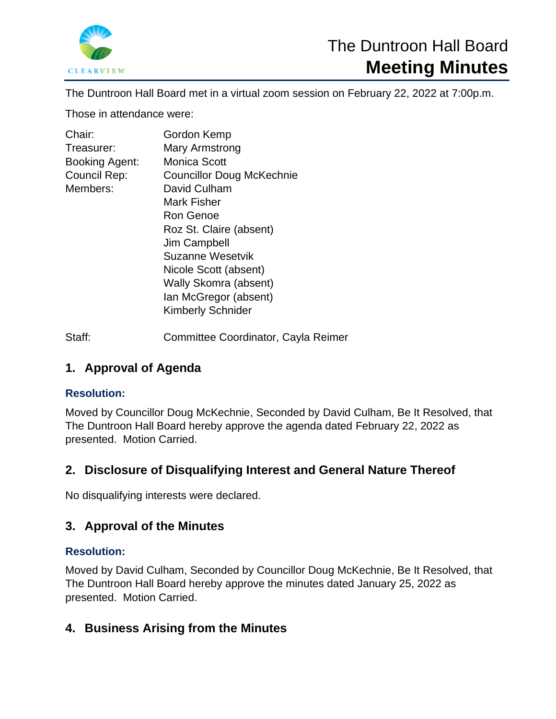

The Duntroon Hall Board met in a virtual zoom session on February 22, 2022 at 7:00p.m.

Those in attendance were:

| Chair:                | Gordon Kemp                      |
|-----------------------|----------------------------------|
| Treasurer:            | Mary Armstrong                   |
| <b>Booking Agent:</b> | <b>Monica Scott</b>              |
| Council Rep:          | <b>Councillor Doug McKechnie</b> |
| Members:              | David Culham                     |
|                       | Mark Fisher                      |
|                       | Ron Genoe                        |
|                       | Roz St. Claire (absent)          |
|                       | Jim Campbell                     |
|                       | Suzanne Wesetvik                 |
|                       | Nicole Scott (absent)            |
|                       | Wally Skomra (absent)            |
|                       | Ian McGregor (absent)            |
|                       | <b>Kimberly Schnider</b>         |
|                       |                                  |

Staff: Committee Coordinator, Cayla Reimer

# **1. Approval of Agenda**

## **Resolution:**

Moved by Councillor Doug McKechnie, Seconded by David Culham, Be It Resolved, that The Duntroon Hall Board hereby approve the agenda dated February 22, 2022 as presented. Motion Carried.

# **2. Disclosure of Disqualifying Interest and General Nature Thereof**

No disqualifying interests were declared.

# **3. Approval of the Minutes**

### **Resolution:**

Moved by David Culham, Seconded by Councillor Doug McKechnie, Be It Resolved, that The Duntroon Hall Board hereby approve the minutes dated January 25, 2022 as presented. Motion Carried.

# **4. Business Arising from the Minutes**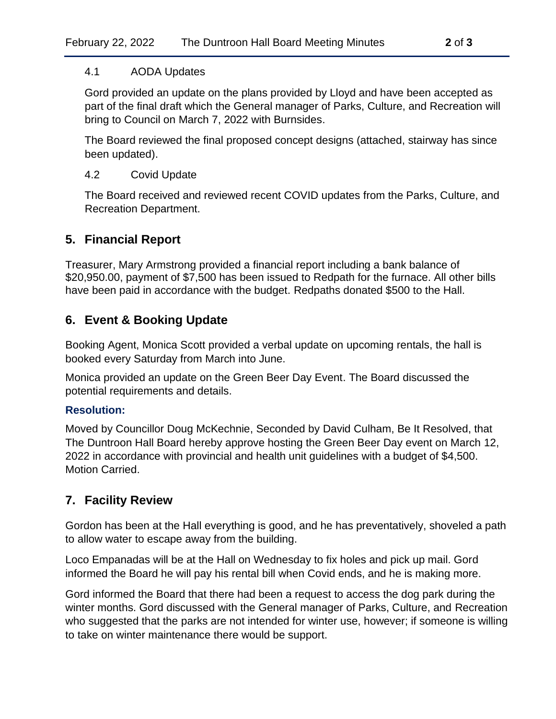#### 4.1 AODA Updates

Gord provided an update on the plans provided by Lloyd and have been accepted as part of the final draft which the General manager of Parks, Culture, and Recreation will bring to Council on March 7, 2022 with Burnsides.

The Board reviewed the final proposed concept designs (attached, stairway has since been updated).

### 4.2 Covid Update

The Board received and reviewed recent COVID updates from the Parks, Culture, and Recreation Department.

## **5. Financial Report**

Treasurer, Mary Armstrong provided a financial report including a bank balance of \$20,950.00, payment of \$7,500 has been issued to Redpath for the furnace. All other bills have been paid in accordance with the budget. Redpaths donated \$500 to the Hall.

## **6. Event & Booking Update**

Booking Agent, Monica Scott provided a verbal update on upcoming rentals, the hall is booked every Saturday from March into June.

Monica provided an update on the Green Beer Day Event. The Board discussed the potential requirements and details.

### **Resolution:**

Moved by Councillor Doug McKechnie, Seconded by David Culham, Be It Resolved, that The Duntroon Hall Board hereby approve hosting the Green Beer Day event on March 12, 2022 in accordance with provincial and health unit guidelines with a budget of \$4,500. Motion Carried.

## **7. Facility Review**

Gordon has been at the Hall everything is good, and he has preventatively, shoveled a path to allow water to escape away from the building.

Loco Empanadas will be at the Hall on Wednesday to fix holes and pick up mail. Gord informed the Board he will pay his rental bill when Covid ends, and he is making more.

Gord informed the Board that there had been a request to access the dog park during the winter months. Gord discussed with the General manager of Parks, Culture, and Recreation who suggested that the parks are not intended for winter use, however; if someone is willing to take on winter maintenance there would be support.